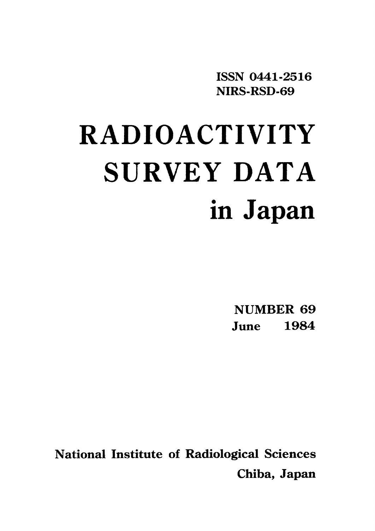ISSN 0441-2516 NIRS-RSD-69

# RADIOACTIVITY SURVEY DATA in Japan

**NUMBER 69** June 1984

**National Institute of Radiological Sciences** Chiba, Japan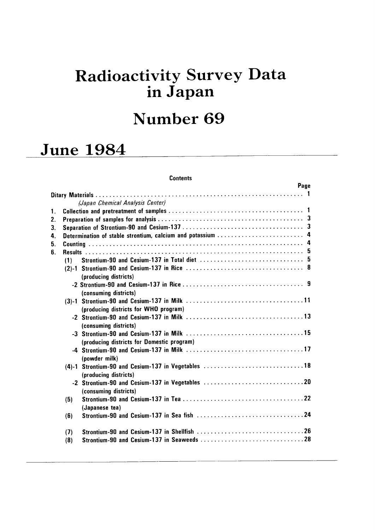# Radioactivity Survey Data in Japan

# Number 69

# June 1984

#### **Contents**

|                |     |                                                             | Page |
|----------------|-----|-------------------------------------------------------------|------|
|                |     | (Japan Chemical Analysis Center)                            |      |
| $\mathbf{1}$ . |     |                                                             |      |
| 2.             |     |                                                             |      |
| 3.             |     |                                                             |      |
| 4.             |     | Determination of stable strontium, calcium and potassium  4 |      |
| 5.             |     |                                                             |      |
| 6.             |     |                                                             |      |
|                | (1) |                                                             |      |
|                |     |                                                             |      |
|                |     | (producing districts)                                       |      |
|                |     |                                                             |      |
|                |     | (consuming districts)                                       |      |
|                |     |                                                             |      |
|                |     | (producing districts for WHO program)                       |      |
|                |     |                                                             |      |
|                |     | (consuming districts)                                       |      |
|                |     |                                                             |      |
|                |     | (producing districts for Domestic program)                  |      |
|                |     |                                                             |      |
|                |     | (powder milk)                                               |      |
|                |     | (4)-1 Strontium-90 and Cesium-137 in Vegetables 18          |      |
|                |     | (producing districts)                                       |      |
|                |     |                                                             |      |
|                |     | (consuming districts)                                       |      |
|                | (5) |                                                             |      |
|                |     | (Japanese tea)                                              |      |
|                | (6) |                                                             |      |
|                | (7) |                                                             |      |
|                | (8) |                                                             |      |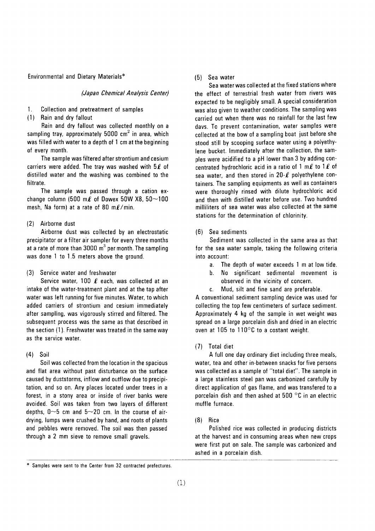Environmental and Dietary Materials\*

#### (Japan Chemical Analysis Center)

- 1. Collection and pretreatment of samples
- (1) Rain and dry fallout

Rain and dry fallout was collected monthly on a sampling tray, approximately 5000  $\text{cm}^2$  in area, which was filled with water to a depth of 1 cm at the beginning of every month.

The sample was filtered after strontium and cesium carriers were added. The tray was washed with  $5\ell$  of distilled water and the washing was combined to the filtrate.

The sample was passed through a cation exchange column (500 m $\ell$  of Dowex 50W X8, 50~100 mesh, Na form) at a rate of 80 m $\ell$ /min.

#### (2) Airborne dust

Airborne dust was collected by an electrostatic precipitator or a filter air sampler for every three months at a rate of more than  $3000 \text{ m}^3$  per month. The sampling was done 1 to 1.5 meters above the ground.

(3) Service water and freshwater

Service water, 100  $\ell$  each, was collected at an intake of the water-treatment plant and at the tap after water was left running for five minutes. Water, to which added carriers of strontium and cesium immediately after sampling, was vigorously stirred and filtered. The subsequent process was the same as that described in the section (1). Freshwater was treated in the same way as the service water.

#### $(4)$ Soil

Soil was collected from the location in the spacious and flat area without past disturbance on the surface caused by duststorms, inflow and outflow due to precipitation, and so on. Any places located under trees in a forest, in a stony area or inside of river banks were avoided. Soil was taken from two layers of different depths,  $0 \sim 5$  cm and  $5 \sim 20$  cm. In the course of airdrying, lumps were crushed by hand, and roots of plants and pebbles were removed. The soil was then passed through a 2 mm sieve to remove small gravels.

#### $(5)$  Sea water

Sea water was collected at the fixed stations where the effect of terrestrial fresh water from rivers was expected to be negligibly small. A special consideration was also given to weather conditions. The sampling was carried out when there was no rainfall for the last few davs. To prevent contamination, water samples were collected at the bow of a sampling boat just before she stood still by scooping surface water using a polyethylene bucket. Immediately after the collection, the samples were acidified to a pH lower than 3 by adding concentrated hydrochloric acid in a ratio of 1 m $\ell$  to 1 $\ell$  of sea water, and then stored in  $20-\ell$  polyethylene containers. The sampling equipments as well as containers were thoroughly rinsed with dilute hydrochloric acid and then with distilled water before use. Two hundred milliliters of sea water was also collected at the same stations for the determination of chlorinity.

#### (6) Sea sediments

Sediment was collected in the same area as that for the sea water sample, taking the following criteria into account:

- $a<sub>1</sub>$ The depth of water exceeds 1 m at low tide.
- No significant sedimental movement is  $h$ . observed in the vicinity of concern.
- Mud, silt and fine sand are preferable. C.

A conventional sediment sampling device was used for collecting the top few centimeters of surface sediment. Approximately 4 kg of the sample in wet weight was spread on a large porcelain dish and dried in an electric oven at 105 to 110°C to a costant weight.

#### (7) Total diet

A full one day ordinary diet including three meals, water, tea and other in-between snacks for five persons was collected as a sample of "total diet". The sample in a large stainless steel pan was carbonized carefully by direct application of gas flame, and was transfered to a porcelain dish and then ashed at  $500\degree$ C in an electric muffle furnace.

#### $(8)$  Rice

Polished rice was collected in producing districts at the harvest and in consuming areas when new crops were first put on sale. The sample was carbonized and ashed in a porcelain dish.

Samples were sent to the Center from 32 contracted prefectures.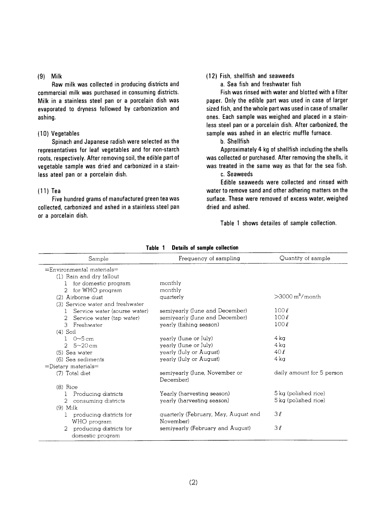#### $(9)$  Milk

Raw milk was collected in producing districts and commercial milk was purchased in consuming districts. Milk in a stainless steel pan or a porcelain dish was evaporated to dryness followed by carbonization and ashing.

#### (10) Vegetables

Spinach and Japanese radish were selected as the representatives for leaf vegetables and for non-starch roots, respectively. After removing soil, the edible part of vegetable sample was dried and carbonized in a stainless ateel pan or a porcelain dish.

#### $(11)$  Tea

Five hundred grams of manufactured green tea was collected, carbonized and ashed in a stainless steel pan or a porcelain dish.

#### (12) Fish, shellfish and seaweeds

a. Sea fish and freshwater fish

Fish was rinsed with water and blotted with a filter paper. Only the edible part was used in case of larger sized fish, and the whole part was used in case of smaller ones. Each sample was weighed and placed in a stainless steel pan or a porcelain dish. After carbonized, the sample was ashed in an electric muffle furnace.

b. Shellfish

Approximately 4 kg of shellfish including the shells was collected or purchased. After removing the shells, it was treated in the same way as that for the sea fish. c. Seaweeds

Edible seaweeds were collected and rinsed with water to remove sand and other adhering matters on the surface. These were removed of excess water, weighed dried and ashed.

Table 1 shows detailes of sample collection.

| Sample                                       | Frequency of sampling                      | Quantity of sample        |
|----------------------------------------------|--------------------------------------------|---------------------------|
| $=$ Environmental materials $=$              |                                            |                           |
| (1) Rain and dry fallout                     |                                            |                           |
| for domestic program                         | monthly                                    |                           |
| for WHO program<br>2                         | monthly                                    |                           |
| (2) Airborne dust                            | quarterly                                  | $>$ 3000 $m^3$ /month     |
| (3) Service water and freshwater             |                                            |                           |
| Service water (sourse water)<br>$\mathbf{L}$ | semiyearly (June and December)             | 100l                      |
| 2<br>Service water (tap water)               | semiyearly (June and December)             | 100l                      |
| 3 Freshwater                                 | yearly (fishing season)                    | 100l                      |
| $(4)$ Soil                                   |                                            |                           |
| $1 - 0 \sim 5 \text{ cm}$                    | yearly (June or July)                      | 4 ka                      |
| 2 $5 - 20$ cm                                | yearly (June or July)                      | 4 kg                      |
| (5) Sea water                                | yearly (July or August)                    | 40l                       |
| (6) Sea sediments                            | yearly (July or August)                    | 4 kg                      |
| $=$ Dietary materials $=$                    |                                            |                           |
| (7) Total diet                               | semiyearly (June, November or<br>December) | daily amount for 5 person |
| $(8)$ Rice                                   |                                            |                           |
| Producing districts<br>$\bf{l}$              | Yearly (harvesting season)                 | 5 kg (polished rice)      |
| 2<br>consuming districts                     | yearly (harvesting season)                 | 5 kg (polished rice)      |
| $(9)$ Milk                                   |                                            |                           |
| producing districts for                      | quarterly (February, May, August and       | 3l                        |
| WHO program                                  | November)                                  |                           |
| 2<br>producing districts for                 | semiyearly (February and August)           | 3l                        |
| domestic program                             |                                            |                           |

Table 1 Details of sample collection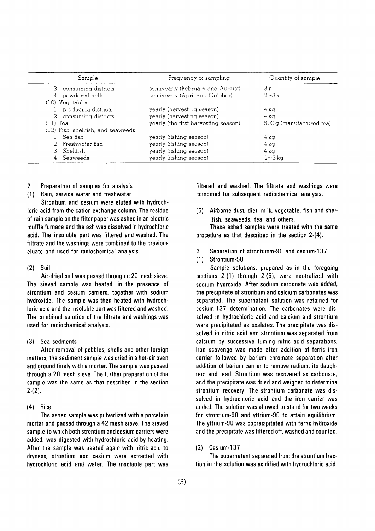|                | Sample                             | Frequency of sampling                | Quantity of sample       |
|----------------|------------------------------------|--------------------------------------|--------------------------|
|                | 3 consuming districts              | semiyearly (February and August)     | 3 l                      |
| $\overline{4}$ | powdered milk                      | semiyearly (April and October)       | $2\sim3$ ka              |
|                | $(10)$ Vegetables                  |                                      |                          |
|                | producing districts                | yearly (hervesting season)           | 4 ka                     |
|                | 2 consuming districts              | yearly (harvesting season)           | $4\,\mathrm{k}\sigma$    |
| $(11)$ Tea     |                                    | yearly (the first harvesting season) | 500 g (manufactured tea) |
|                | (12) Fish, shellfish, and seaweeds |                                      |                          |
|                | Sea fish                           | yearly (fishing season)              | 4 ka                     |
|                | 2 Freshwater fish                  | yearly (fishing season)              | 4 ka                     |
| З              | Shellfish                          | yearly (fishing season)              | $4\,\mathrm{k}\alpha$    |
|                | 4 Seaweeds                         | yearly (fishing season)              | $2\sim3\,\mathrm{kg}$    |

#### $2.$ Preparation of samples for analysis

(1) Rain, service water and freshwater

Strontium and cesium were eluted with hydrochloric acid from the cation exchange column. The residue of rain sample on the filter paper was ashed in an electric muffle furnace and the ash was dissolved in hydrochlbric acid. The insoluble part was filtered and washed. The filtrate and the washings were combined to the previous eluate and used for radiochemical analysis.

#### $(2)$ Soil

Air-dried soil was passed through a 20 mesh sieve. The sieved sample was heated, in the presence of strontium and cesium carriers, together with sodium hydroxide. The sample was then heated with hydrochloric acid and the insoluble part was filtered and washed. The combined solution of the filtrate and washings was used for radiochemical analysis.

#### (3) Sea sedments

After removal of pebbles, shells and other foreign matters, the sediment sample was dried in a hot-air oven and ground finely with a mortar. The sample was passed through a 20 mesh sieve. The further preparation of the sample was the same as that described in the section  $2-(2)$ .

#### $(4)$  Rice

The ashed sample was pulverlized with a porcelain mortar and passed through a 42 mesh sieve. The sieved sample to which both strontium and cesium carriers were added, was digested with hydrochloric acid by heating. After the sample was heated again with nitric acid to dryness, strontium and cesium were extracted with hydrochloric acid and water. The insoluble part was filtered and washed. The filtrate and washings were combined for subsequent radiochemical analysis.

(5) Airborne dust, diet, milk, vegetable, fish and shel-Ifish, seaweeds, tea, and others.

These ashed samples were treated with the same procedure as that described in the section  $2-(4)$ .

- $3.$ Separation of strontiunm-90 and cesium-137
- $(1)$ Strontium-90

Sample solutions, prepared as in the foregoing sections 2-(1) through 2-(5), were neutralized with sodium hydroxide. After sodium carbonate was added, the precipitate of strontium and calcium carbonates was separated. The supernatant solution was retained for cesium-137 determination. The carbonates were dissolved in hydrochloric acid and calcium and strontium were precipitated as oxalates. The precipitate was dissolved in nitric acid and strontium was separated from calcium by successive fuming nitric acid separations. Iron scavenge was made after addition of ferric iron carrier followed by barium chromate separation after addition of barium carrier to remove radium, its daughters and lead. Strontium was recovered as carbonate, and the precipitate was dried and weighed to determine strontium recovery. The strontium carbonate was dissolved in hydrochloric acid and the iron carrier was added. The solution was allowed to stand for two weeks for strontium-90 and yttrium-90 to attain equilibrium. The yttrium-90 was coprecipitated with ferric hydroxide and the precipitate was filtered off, washed and counted.

#### $(2)$  Cesium-137

The supernatant separated from the strontium fraction in the solution was acidified with hydrochloric acid.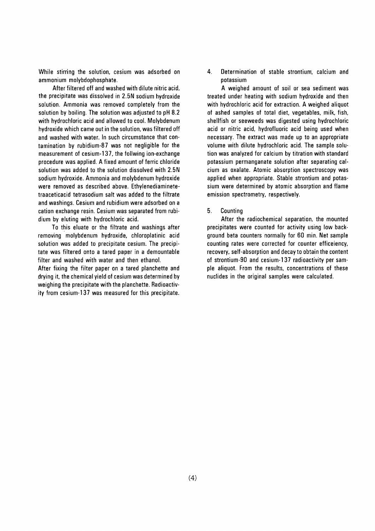While stirring the solution, cesium was adsorbed on ammonium molybdophosphate.

After filtered off and washed with dilute nitric acid, the precipitate was dissolved in 2.5N sodium hydroxide solution. Ammonia was removed completely from the solution by boiling. The solution was adjusted to pH 8.2 with hydrochloric acid and allowed to cool. Molybdenum hydroxide which came out in the solution, was filtered off and washed with water. In such circumstance that contamination by rubidium-87 was not negligible for the measurement of cesium-137, the follwing ion-exchange procedure was applied. A fixed amount of ferric chloride solution was added to the solution dissolved with 2.5N sodium hydroxide. Ammonia and molybdenum hydroxide were removed as described above. Ethylenediaminetetraaceticacid tetrasodium salt was added to the filtrate and washings. Cesium and rubidium were adsorbed on a cation exchange resin. Cesium was separated from rubidium by eluting with hydrochloric acid.

To this eluate or the filtrate and washings after removing molybdenum hydroxide, chloroplatinic acid solution was added to precipitate cesium. The precipitate was filtered onto a tared paper in a demountable filter and washed with water and then ethanol.

After fixing the filter paper on a tared planchette and drving it, the chemical vield of cesium was determined by weighing the precipitate with the planchette. Radioactivity from cesium-137 was measured for this precipitate. 4. Determination of stable strontium, calcium and potassium

A weighed amount of soil or sea sediment was treated under heating with sodium hydroxide and then with hydrochloric acid for extraction. A weighed aliquot of ashed samples of total diet, vegetables, milk, fish, shellfish or seeweeds was digested using hydrochloric acid or nitric acid, hydrofluoric acid being used when necessary. The extract was made up to an appropriate volume with dilute hydrochloric acid. The sample solution was analyzed for calcium by titration with standard potassium permanganate solution after separating calcium as oxalate. Atomic absorption spectroscopy was applied when appropriate. Stable strontium and potassium were determined by atomic absorption and flame emission spectrometry, respectively.

#### 5. Counting

After the radiochemical separation, the mounted precipitates were counted for activity using low background beta counters normally for 60 min. Net sample counting rates were corrected for counter efficeiency, recovery, self-absorption and decay to obtain the content of strontium-90 and cesium-137 radioactivity per sample aliquot. From the results, concentrations of these nuclides in the original samples were calculated.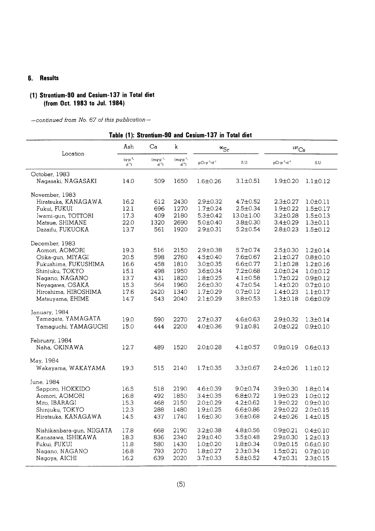#### 6. Results

#### (1) Strontium-90 and Cesium-137 in Total diet (from Oct. 1983 to Jul. 1984)

-continued from No. 67 of this publication-

#### Table (1): Strontium-90 and Cesium-137 in Total diet

| Location                  | Ash                           | Ca                       | k                               | $^{90}Sr$          |                | $^{137}\mathrm{Cs}$                                                      |                |
|---------------------------|-------------------------------|--------------------------|---------------------------------|--------------------|----------------|--------------------------------------------------------------------------|----------------|
|                           | $(q\cdot p^{-1})$<br>$d^{-1}$ | $(mqrp^{-1}$<br>$d^{-1}$ | $(mg \cdot p^{-1})$<br>$d^{-1}$ | $pCi.p^{-1}d^{-1}$ | S.U.           | $p\mathrm{C}\mathrm{i}{\cdot}p^{\text{-}1}{\cdot}\mathrm{d}^{\text{-}1}$ | S.U.           |
| October, 1983             |                               |                          |                                 |                    |                |                                                                          |                |
| Nagasaki, NAGASAKI        | 14.0                          | 509                      | 1650                            | $1.6 \pm 0.26$     | $3.1 \pm 0.51$ | $1.9 + 0.20$                                                             | $1.1 \pm 0.12$ |
| November, 1983            |                               |                          |                                 |                    |                |                                                                          |                |
| Hiratsuka, KANAGAWA       | 16.2                          | 612                      | 2430                            | $2.9 \pm 0.32$     | $4.7 \pm 0.52$ | $2.3 \pm 0.27$                                                           | $1.0 \pm 0.11$ |
| Fukui, FUKUI              | 12.1                          | 696                      | 1270                            | $1.7 \pm 0.24$     | $2.5 \pm 0.34$ | $1.9 \pm 0.22$                                                           | $1.5 \pm 0.17$ |
| Iwami-gun, TOTTORI        | 17.3                          | 409                      | 2180                            | $5.3 \pm 0.42$     | 13.0±1.00      | $3.2 \pm 0.28$                                                           | $1.5 \pm 0.13$ |
| Matsue, SHIMANE           | 22.0                          | 1320                     | 2690                            | $5.0 \pm 0.40$     | $3.8 \pm 0.30$ | $3.4 \pm 0.29$                                                           | $1.3 \pm 0.11$ |
| Dazaifu, FUKUOKA          | 13.7                          | 561                      | 1920                            | $2.9 \pm 0.31$     | $5.2 \pm 0.54$ | $2.8 \pm 0.23$                                                           | $1.5 \pm 0.12$ |
| December, 1983            |                               |                          |                                 |                    |                |                                                                          |                |
| Aomori, AOMORI            | 19.3                          | 516                      | 2150                            | $2.9 \pm 0.38$     | $5.7 \pm 0.74$ | $2.5 \pm 0.30$                                                           | $1.2 \pm 0.14$ |
| Ojika-gun, MIYAGI         | 20.5                          | 598                      | 2760                            | $4.5 \pm 0.40$     | 7.6±0.67       | $2.1 \pm 0.27$                                                           | $0.8 \pm 0.10$ |
| Fukushima, FUKUSHIMA      | 16.6                          | 458                      | 1810                            | $3.0 + 0.35$       | $6.6 \pm 0.77$ | $2.1 \pm 0.28$                                                           | $1.2 \pm 0.16$ |
| Shinjuku, TOKYO           | 15.1                          | 498                      | 1950                            | $3.6 \pm 0.34$     | $7.2 \pm 0.68$ | $2.0 \pm 0.24$                                                           | $1.0 \pm 0.12$ |
| Nagano, NAGANO            | 13.7                          | 431                      | 1820                            | $1.8 + 0.25$       | $4.1 \pm 0.58$ | $1.7 \pm 0.22$                                                           | $0.9 \pm 0.12$ |
| Neyagawa, OSAKA           | 15.3                          | 564                      | 1960                            | $2.6 \pm 0.30$     | $4.7 \pm 0.54$ | $1.4 \pm 0.20$                                                           | $0.7 \pm 0.10$ |
| Hiroshima, HIROSHIMA      | 17.6                          | 2420                     | 1340                            | $1.7 \pm 0.29$     | $0.7 \pm 0.12$ | $1.4 \pm 0.23$                                                           | $1.1 \pm 0.17$ |
| Matsuyama, EHIME          | 14.7                          | 543                      | 2040                            | $2.1 \pm 0.29$     | $3.8 \pm 0.53$ | $1.3 \pm 0.18$                                                           | $0.6 \pm 0.09$ |
| January, 1984             |                               |                          |                                 |                    |                |                                                                          |                |
| Yamagata, YAMAGATA        | 19.0                          | 590                      | 2270                            | $2.7 \pm 0.37$     | $4.6 \pm 0.63$ | $2.9 + 0.32$                                                             | $1.3 \pm 0.14$ |
| Yamaguchi, YAMAGUCHI      | 15.0                          | 444                      | 2200                            | $4.0 \pm 0.36$     | $9.1 \pm 0.81$ | $2.0 \pm 0.22$                                                           | $0.9 \pm 0.10$ |
| February, 1984            |                               |                          |                                 |                    |                |                                                                          |                |
| Naha, OKINAWA             | 12.7                          | 489                      | 1520                            | $2.0 \pm 0.28$     | $4.1 \pm 0.57$ | $0.9 + 0.19$                                                             | $0.6 \pm 0.13$ |
| May, 1984                 |                               |                          |                                 |                    |                |                                                                          |                |
| Wakayama, WAKAYAMA        | 19.3                          | 515                      | 2140                            | $1.7 \pm 0.35$     | 3.3±0.67       | $2.4 \pm 0.26$                                                           | $1.1 \pm 0.12$ |
| June, 1984                |                               |                          |                                 |                    |                |                                                                          |                |
| Sapporo, HOKKIDO          | 16.5                          | 518                      | 2190                            | 4.6±0.39           | 9.0±0.74       | $3.9 \pm 0.30$                                                           | $1.8 \pm 0.14$ |
| Aomori, AOMORI            | 16.8                          | 492                      | 1850                            | $3.4 \pm 0.35$     | $6.8 \pm 0.72$ | $1.9 + 0.23$                                                             | $1.0 \pm 0.12$ |
| Mito, IBARAGI             | 15.3                          | 468                      | 2150                            | $2.0 \pm 0.29$     | $4.2 \pm 0.62$ | $1.9 + 0.22$                                                             | $0.9 \pm 0.10$ |
| Shinjuku, TOKYO           | 12.3                          | 288                      | 1480                            | $1.9 \pm 0.25$     | $6.6 \pm 0.86$ | $2.9 \pm 0.22$                                                           | $2.0 \pm 0.15$ |
| Hiratsuka, KANAGAWA       | 14.5                          | 437                      | 1740                            | $1.6 \pm 0.30$     | $3.6 \pm 0.68$ | $2.4 \pm 0.26$                                                           | $1.4 \pm 0.15$ |
| Nishikanbara-gun, NIIGATA | 17.8                          | 668                      | 2190                            | $3.2 \pm 0.38$     | $4.8 \pm 0.56$ | $0.9 \pm 0.21$                                                           | $0.4 \pm 0.10$ |
| Kanazawa, ISHIKAWA        | 18.3                          | 836                      | 2340                            | $2.9 \pm 0.40$     | $3.5 \pm 0.48$ | $2.9 \pm 0.30$                                                           | $1.2 \pm 0.13$ |
| Fukui, FUKUI              | 11.8                          | 580                      | 1430                            | $1.0 \pm 0.20$     | $1.8 \pm 0.34$ | $0.9 \pm 0.15$                                                           | $0.6 \pm 0.10$ |
| Nagano, NAGANO            | 16.8                          | 793                      | 2070                            | $1.8 + 0.27$       | $2.3 \pm 0.34$ | $1.5 \pm 0.21$                                                           | $0.7 \pm 0.10$ |
| Nagoya, AICHI             | 16.2                          | 639                      | 2020                            | $3.7 \pm 0.33$     | 5.8±0.52       | $4.7 \pm 0.31$                                                           | $2.3 \pm 0.15$ |
|                           |                               |                          |                                 |                    |                |                                                                          |                |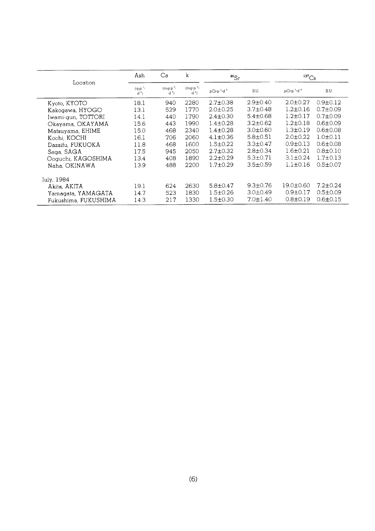|                      | Ash                            | Ca                                   | k                               | $^{90}Sr$                           |                | ${}^{137}Cs$                         |                |
|----------------------|--------------------------------|--------------------------------------|---------------------------------|-------------------------------------|----------------|--------------------------------------|----------------|
| Location             | $(q \cdot p^{-1})$<br>$d^{-1}$ | $(mq \cdot p^{-1})$<br>$d^{\dagger}$ | $(mq \cdot p^{-1})$<br>$d^{-1}$ | pCi-p <sup>1</sup> -d <sup>-1</sup> | S.U.           | pCi.p <sup>-1</sup> -d <sup>-1</sup> | S.U.           |
| Kyoto, KYOTO         | 18.1                           | 940                                  | 2280                            | $2.7 \pm 0.38$                      | $2.9 \pm 0.40$ | $2.0 \pm 0.27$                       | $0.9 \pm 0.12$ |
| Kakogawa, HYOGO      | 13.1                           | 529                                  | 1770                            | $2.0 \pm 0.25$                      | $3.7 \pm 0.48$ | $1.2 \pm 0.16$                       | $0.7 \pm 0.09$ |
| Iwami-gun, TOTTORI   | 14.1                           | 440                                  | 1790                            | $2.4 \pm 0.30$                      | $5.4 \pm 0.68$ | $1.2 \pm 0.17$                       | $0.7 \pm 0.09$ |
| Okayama, OKAYAMA     | 15.6                           | 443                                  | 1990                            | $1.4 \pm 0.28$                      | $3.2 \pm 0.62$ | $1.2 \pm 0.18$                       | $0.6 \pm 0.09$ |
| Matsuyama, EHIME     | 15.0                           | 468                                  | 2340                            | $1.4 \pm 0.28$                      | $3.0 \pm 0.60$ | $1.3 \pm 0.19$                       | $0.6 \pm 0.08$ |
| Kochi, KOCHI         | 16.1                           | 706                                  | 2060                            | $4.1 \pm 0.36$                      | $5.8 \pm 0.51$ | $2.0 \pm 0.22$                       | $1.0 + 0.11$   |
| Dazaifu, FUKUOKA     | 11.8                           | 468                                  | 1600                            | $1.5 \pm 0.22$                      | $3.3 \pm 0.47$ | $0.9 \pm 0.13$                       | $0.6 \pm 0.08$ |
| Saga, SAGA           | 17.5                           | 945                                  | 2050                            | $2.7 \pm 0.32$                      | $2.8 \pm 0.34$ | $1.6 \pm 0.21$                       | $0.8 \pm 0.10$ |
| Ooguchi, KAGOSHIMA   | 13.4                           | 408                                  | 1890                            | $2.2 \pm 0.29$                      | $5.3 \pm 0.71$ | $3.1 \pm 0.24$                       | $1.7 \pm 0.13$ |
| Naha. OKINAWA        | 13.9                           | 488                                  | 2200                            | $1.7 \pm 0.29$                      | $3.5 \pm 0.59$ | $1.1 \pm 0.16$                       | $0.5 \pm 0.07$ |
| July, 1984           |                                |                                      |                                 |                                     |                |                                      |                |
| Akita, AKITA         | 19.1                           | 624                                  | 2630                            | $5.8 \pm 0.47$                      | $9.3 \pm 0.76$ | $19.0 \pm 0.60$                      | $7.2 \pm 0.24$ |
| Yamagata, YAMAGATA   | 14.7                           | 523                                  | 1830                            | $1.5 \pm 0.26$                      | $3.0 \pm 0.49$ | $0.9 \pm 0.17$                       | $0.5 \pm 0.09$ |
| Fukushima, FUKUSHIMA | 14.3                           | 217                                  | 1330                            | $1.5 \pm 0.30$                      | $7.0 \pm 1.40$ | $0.8 \pm 0.19$                       | $0.6 \pm 0.15$ |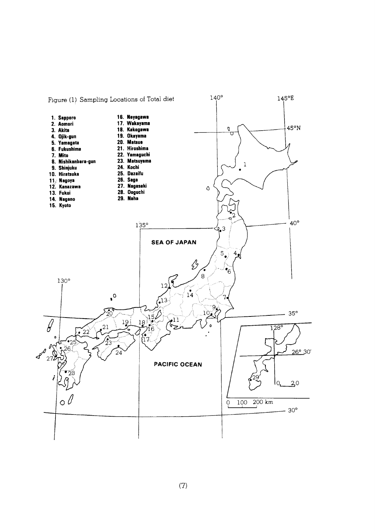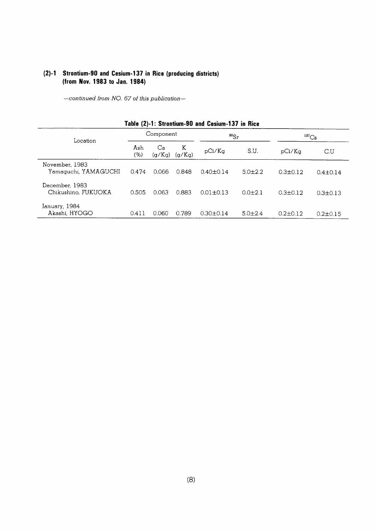#### (2)-1 Strontium-90 and Cesium-137 in Rice (producing districts) (from Nov. 1983 to Jan. 1984)

-continued from NO. 67 of this publication-

| Table (2)-1: Strontium-90 and Cesium-137 in Rice |             |              |             |                 |               |                |                |  |  |  |  |
|--------------------------------------------------|-------------|--------------|-------------|-----------------|---------------|----------------|----------------|--|--|--|--|
| Location                                         | Component   |              |             | $^{90}Sr$       |               | ${}^{137}Cs$   |                |  |  |  |  |
|                                                  | Ash<br>(% ) | Ca<br>(q/Kq) | K<br>(g/Kg) | pCi/Kq          | S.U.          | pCi/Kq         | C.U            |  |  |  |  |
| November, 1983<br>Yamaguchi, YAMAGUCHI           | 0.474       | 0.066        | 0.848       | $0.40 + 0.14$   | $5.0 \pm 2.2$ | $0.3 \pm 0.12$ | $0.4 \pm 0.14$ |  |  |  |  |
| December, 1983<br>Chikushino, FUKUOKA            | 0.505       | 0.063        | 0.883       | $0.01 + 0.13$   | $0.0 + 2.1$   | $0.3 + 0.12$   | $0.3 \pm 0.13$ |  |  |  |  |
| January, 1984<br>Akashi, HYOGO                   | 0.411       | 0.060        | 0.789       | $0.30 \pm 0.14$ | $5.0 \pm 2.4$ | $0.2 + 0.12$   | $0.2 \pm 0.15$ |  |  |  |  |

#### $(8)$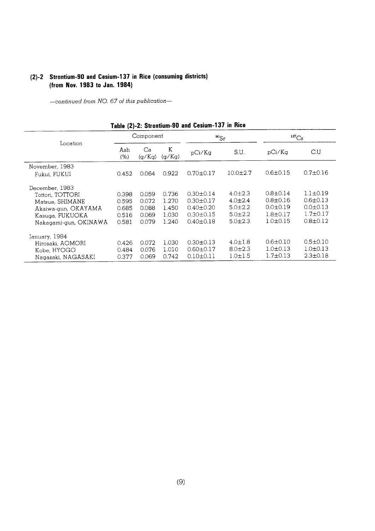#### (2)-2 Strontium-90 and Cesium-137 in Rice (consuming districts) (from Nov. 1983 to Jan. 1984)

-continued from NO. 67 of this publication-

|                                                                                                                          |                                           | Component                                 |                                           | $^{90}Sr$                                                                                   |                                                                                 | $^{137}Cs$                                                                           |                                                                                        |
|--------------------------------------------------------------------------------------------------------------------------|-------------------------------------------|-------------------------------------------|-------------------------------------------|---------------------------------------------------------------------------------------------|---------------------------------------------------------------------------------|--------------------------------------------------------------------------------------|----------------------------------------------------------------------------------------|
| Location                                                                                                                 | Ash<br>(% )                               | Ca<br>(g/Kg)                              | K<br>(q/Kq)                               | pCi/Ka                                                                                      | S.U.                                                                            | pCi/Kg                                                                               | $\overline{C}$ .U                                                                      |
| November, 1983<br>Fukui, FUKUI                                                                                           | 0.452                                     | 0.064                                     | 0.922                                     | $0.70 \pm 0.17$                                                                             | $10.0 \pm 2.7$                                                                  | $0.6 \pm 0.15$                                                                       | $0.7 \pm 0.16$                                                                         |
| December, 1983<br>Tottori, TOTTORI<br>Matsue, SHIMANE<br>Akaiwa-gun, OKAYAMA<br>Kasuga, FUKUOKA<br>Nakagami-gun, OKINAWA | 0.398<br>0.595<br>0.685<br>0.516<br>0.581 | 0.059<br>0.072<br>0.088<br>0.069<br>0.079 | 0.736<br>1.270<br>1.450<br>1.030<br>1.240 | $0.30 \pm 0.14$<br>$0.30 \pm 0.17$<br>$0.40 \pm 0.20$<br>$0.30 \pm 0.15$<br>$0.40 \pm 0.18$ | $4.0 \pm 2.3$<br>$4.0 \pm 2.4$<br>$5.0 \pm 2.2$<br>$5.0 \pm 2.2$<br>$5.0 + 2.3$ | $0.8 \pm 0.14$<br>$0.8 \pm 0.16$<br>$0.0 + 0.19$<br>$1.8 \pm 0.17$<br>$1.0 \pm 0.15$ | $1.1 \pm 0.19$<br>$0.6 \pm 0.13$<br>$0.0 \pm 0.13$<br>$1.7 \pm 0.17$<br>$0.8 \pm 0.12$ |
| January, 1984<br>Hirosaki, AOMORI<br>Kobe, HYOGO<br>Nagasaki, NAGASAKI                                                   | 0.426<br>0.484<br>0.377                   | 0.072<br>0.076<br>0.069                   | 1.030<br>1.010<br>0.742                   | $0.30 \pm 0.13$<br>$0.60 \pm 0.17$<br>$0.10 \pm 0.11$                                       | $4.0 \pm 1.8$<br>$8.0 \pm 2.3$<br>$1.0 \pm 1.5$                                 | $0.6 \pm 0.10$<br>$1.0 \pm 0.13$<br>$1.7 \pm 0.13$                                   | $0.5 \pm 0.10$<br>$1.0 \pm 0.13$<br>$2.3 \pm 0.18$                                     |

#### Table (2)-2: Strontium-90 and Cesium-137 in Rice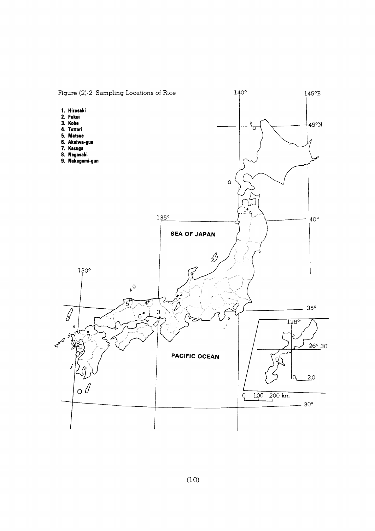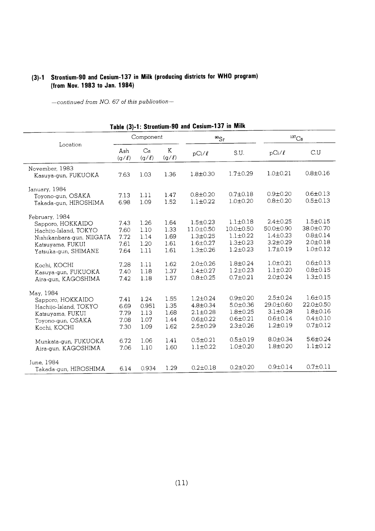# (3)-1 Strontium-90 and Cesium-137 in Milk (producing districts for WHO program) (from Nov. 1983 to Jan. 1984)

| Table (3)-1: Strontium-90 and Cesium-137 in Milk                                                                                      |                                      |                                       |                                      |                                                                                      |                                                                                   |                                                                                   |                                                                                   |  |  |  |  |
|---------------------------------------------------------------------------------------------------------------------------------------|--------------------------------------|---------------------------------------|--------------------------------------|--------------------------------------------------------------------------------------|-----------------------------------------------------------------------------------|-----------------------------------------------------------------------------------|-----------------------------------------------------------------------------------|--|--|--|--|
|                                                                                                                                       |                                      | Component                             |                                      | $^{90}Sr$                                                                            |                                                                                   | $^{137}Cs$                                                                        |                                                                                   |  |  |  |  |
| Location                                                                                                                              | Ash<br>$(g/\ell)$                    | Ca<br>(g/l)                           | K<br>$(g/\ell)$                      | $pCi/\ell$                                                                           | S.U.                                                                              | $pCi/\ell$                                                                        | C.U                                                                               |  |  |  |  |
| November, 1983<br>Kasuya-gun, FUKUOKA                                                                                                 | 7.63                                 | 1.03                                  | 1.36                                 | $1.8 \pm 0.30$                                                                       | $1.7 \pm 0.29$                                                                    | $1.0 \pm 0.21$                                                                    | $0.8 \pm 0.16$                                                                    |  |  |  |  |
| January, 1984<br>Toyono-gun, OSAKA<br>Takada-gun, HIROSHIMA                                                                           | 7.13<br>6.98                         | 1.11<br>1.09                          | 1.47<br>1.52                         | $0.8 \pm 0.20$<br>$1.1 \pm 0.22$                                                     | $0.7 \pm 0.18$<br>$1.0 + 0.20$                                                    | $0.9 + 0.20$<br>$0.8 + 0.20$                                                      | $0.6 \pm 0.13$<br>$0.5 \pm 0.13$                                                  |  |  |  |  |
| February, 1984<br>Sapporo, HOKKAIDO<br>Hachijo-Island, TOKYO<br>Nishikanbara-gun, NIIGATA<br>Katsuyama, FUKUI<br>Yatsuka-gun, SHIMANE | 7.43<br>7.60<br>7.72<br>7.61<br>7.64 | 1.26<br>1.10<br>1.14<br>1.20<br>1.11  | 1.64<br>1.33<br>1.69<br>1.61<br>1.61 | $1.5 \pm 0.23$<br>11.0±0.50<br>$1.3 \pm 0.25$<br>$1.6 \pm 0.27$<br>$1.3 \pm 0.26$    | $1.1 \pm 0.18$<br>10.0±0.50<br>$1.1 \pm 0.22$<br>$1.3 \pm 0.23$<br>$1.2 \pm 0.23$ | $2.4 \pm 0.25$<br>50.0±0.90<br>$1.4 \pm 0.23$<br>$3.2 \pm 0.29$<br>$1.7 \pm 0.19$ | $1.5 \pm 0.15$<br>38.0±0.70<br>$0.8 \pm 0.14$<br>$2.0 \pm 0.18$<br>$1.0 \pm 0.12$ |  |  |  |  |
| Kochi, KOCHI<br>Kasuya-gun, FUKUOKA<br>Aira-gun, KAGOSHIMA                                                                            | 7.28<br>7.40<br>7.42                 | 1.11<br>1.18<br>1.18                  | 1.62<br>1.37<br>1.57                 | $2.0 \pm 0.26$<br>$1.4 \pm 0.27$<br>$0.8 \pm 0.25$                                   | $1.8 \pm 0.24$<br>$1.2 \pm 0.23$<br>$0.7 \pm 0.21$                                | $1.0 \pm 0.21$<br>$1.1 \pm 0.20$<br>$2.0 \pm 0.24$                                | $0.6 \pm 0.13$<br>$0.8 \pm 0.15$<br>$1.3 \pm 0.15$                                |  |  |  |  |
| May, 1984<br>Sapporo, HOKKAIDO<br>Hachijo-Island, TOKYO<br>Katsuyama, FUKUI<br>Toyono-gun, OSAKA<br>Kochi, KOCHI                      | 7.41<br>6.69<br>7.79<br>7.08<br>7.30 | 1.24<br>0.951<br>1.13<br>1.07<br>1.09 | 1.55<br>1.35<br>1.68<br>1.44<br>1.62 | $1.2 \pm 0.24$<br>$4.8 \pm 0.34$<br>$2.1 \pm 0.28$<br>$0.6 + 0.22$<br>$2.5 \pm 0.29$ | $0.9 + 0.20$<br>$5.0 + 0.36$<br>$1.8 + 0.25$<br>$0.6 \pm 0.21$<br>$2.3 \pm 0.26$  | $2.5 \pm 0.24$<br>29.0±0.60<br>$3.1 + 0.28$<br>$0.6 \pm 0.14$<br>$1.2 \pm 0.19$   | $1.6 \pm 0.15$<br>22.0±0.50<br>$1.8 \pm 0.16$<br>$0.4 \pm 0.10$<br>$0.7 \pm 0.12$ |  |  |  |  |
| Munkata-gun, FUKUOKA<br>Aira-gun, KAGOSHIMA                                                                                           | 6.72<br>7.06                         | 1.06<br>1.10                          | 1.41<br>1.60                         | $0.5 \pm 0.21$<br>$1.1 \pm 0.22$                                                     | $0.5 \pm 0.19$<br>$1.0 + 0.20$                                                    | $8.0 \pm 0.34$<br>$1.8 + 0.20$                                                    | $5.6 \pm 0.24$<br>$1.1 \pm 0.12$                                                  |  |  |  |  |
| June, 1984<br>Takada-gun, HIROSHIMA                                                                                                   | 6.14                                 | 0.934                                 | 1.29                                 | $0.2 \pm 0.18$                                                                       | $0.2 \pm 0.20$                                                                    | $0.9 \pm 0.14$                                                                    | $0.7 \pm 0.11$                                                                    |  |  |  |  |

|  |  | hble (3)-1: Strontium-90 and Cesium-137 in Milk |  |  |  |  |  |
|--|--|-------------------------------------------------|--|--|--|--|--|
|--|--|-------------------------------------------------|--|--|--|--|--|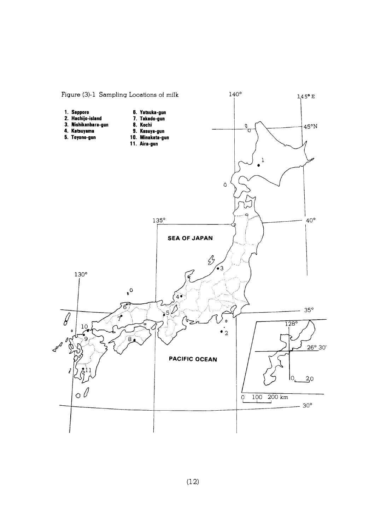

 $(12)$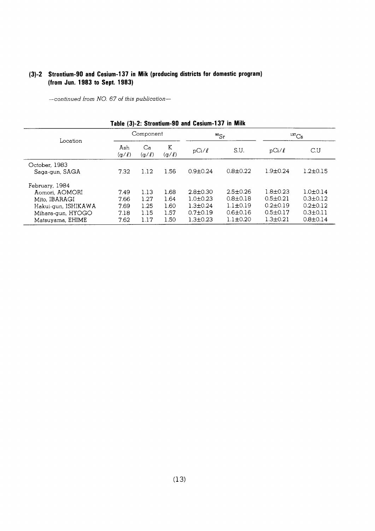## (3)-2 Strontium-90 and Cesium-137 in Mik (producing districts for domestic program) (from Jun. 1983 to Sept. 1983)

-continued from NO. 67 of this publication-

| Location            | Component    |                  |            |                | $^{90}Sr$      | $^{137}Cs$     |                |
|---------------------|--------------|------------------|------------|----------------|----------------|----------------|----------------|
|                     | Ash<br>(g/l) | Ca<br>$(g/\ell)$ | K<br>(g/l) | $pCi/\ell$     | S.U.           | $pCi/\ell$     | C.U            |
| October, 1983       |              |                  |            |                |                |                |                |
| Saga-gun, SAGA      | 7.32         | 1.12             | 1.56       | $0.9 \pm 0.24$ | $0.8 \pm 0.22$ | $1.9 \pm 0.24$ | $1.2 \pm 0.15$ |
| February, 1984      |              |                  |            |                |                |                |                |
| Aomori, AOMORI      | 7.49         | 1.13             | 1.68       | $2.8 \pm 0.30$ | $2.5 + 0.26$   | $1.8 \pm 0.23$ | $1.0 + 0.14$   |
| Mito, IBARAGI       | 7.66         | 1.27             | 1.64       | $1.0 \pm 0.23$ | $0.8 \pm 0.18$ | $0.5 \pm 0.21$ | $0.3 \pm 0.12$ |
| Hakui-gun, ISHIKAWA | 7.69         | 1.25             | 1.60       | $1.3 \pm 0.24$ | $1.1 \pm 0.19$ | $0.2 + 0.19$   | $0.2 \pm 0.12$ |
| Mihara-gun, HYOGO   | 7.18         | 1.15             | 1.57       | $0.7{\pm}0.19$ | $0.6 \pm 0.16$ | $0.5 \pm 0.17$ | $0.3 \pm 0.11$ |
| Matsuyama, EHIME    | 7.62         | 1.17             | 1.50       | $1.3 \pm 0.23$ | $1.1 \pm 0.20$ | $1.3 \pm 0.21$ | $0.8 \pm 0.14$ |

#### Table (3)-2: Strontium-90 and Cesium-137 in Milk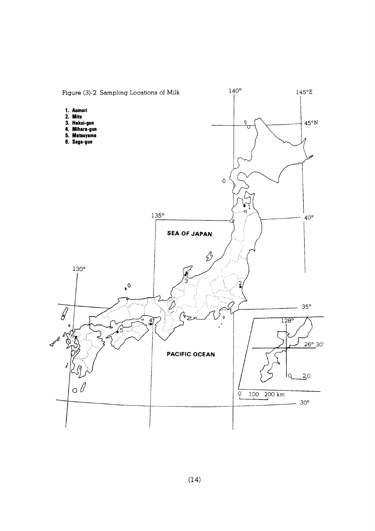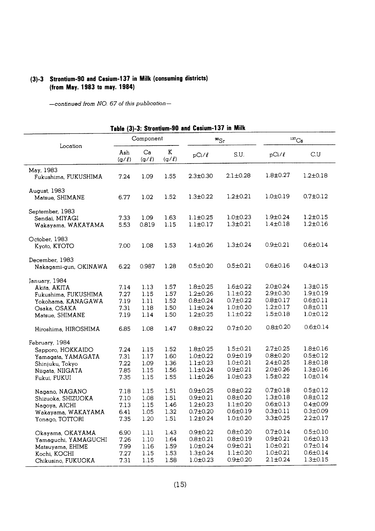#### (3)-3 Strontium-90 and Cesium-137 in Milk (consuming districts) (from May. 1983 to may. 1984)

-continued from NO. 67 of this publication-

|                                                                                                                  |                                      |                                      | TQNIQ (J)"J. JUVRUURI"JV UNU         |                                                                                        |                                                                                        |                                                                                        |                                                                                        |
|------------------------------------------------------------------------------------------------------------------|--------------------------------------|--------------------------------------|--------------------------------------|----------------------------------------------------------------------------------------|----------------------------------------------------------------------------------------|----------------------------------------------------------------------------------------|----------------------------------------------------------------------------------------|
| Location                                                                                                         |                                      | Component                            |                                      |                                                                                        | $^{90}Sr$                                                                              |                                                                                        | $^{137}Cs$                                                                             |
|                                                                                                                  | Ash<br>(g/l)                         | Ca<br>$(g/\ell)$                     | Κ<br>$(g/\ell)$                      | $pCi/\ell$                                                                             | S.U.                                                                                   | $pCi/\ell$                                                                             | C.U                                                                                    |
| May, 1983<br>Fukushima, FUKUSHIMA                                                                                | 7.24                                 | 1.09                                 | 1.55                                 | $2.3 \pm 0.30$                                                                         | $2.1 \pm 0.28$                                                                         | $1.8 \pm 0.27$                                                                         | $1.2 \pm 0.18$                                                                         |
| August, 1983<br>Matsue, SHIMANE                                                                                  | 6.77                                 | 1.02                                 | 1.52                                 | $1.3 \pm 0.22$                                                                         | $1.2 \pm 0.21$                                                                         | $1.0 \pm 0.19$                                                                         | $0.7 \pm 0.12$                                                                         |
| September, 1983<br>Sendai, MIYAGI<br>Wakayama, WAKAYAMA                                                          | 7.33<br>5.53                         | 1.09<br>0.819                        | 1.63<br>1.15                         | $1.1 \pm 0.25$<br>$1.1 \pm 0.17$                                                       | $1.0 \pm 0.23$<br>$1.3 \pm 0.21$                                                       | $1.9 \pm 0.24$<br>$1.4 \pm 0.18$                                                       | $1.2 \pm 0.15$<br>$1.2 \pm 0.16$                                                       |
| October, 1983<br>Kyoto, KYOTO                                                                                    | 7.00                                 | 1.08                                 | 1.53                                 | $1.4 \pm 0.26$                                                                         | $1.3 \pm 0.24$                                                                         | $0.9 \pm 0.21$                                                                         | $0.6 \pm 0.14$                                                                         |
| December, 1983<br>Nakagami-gun, OKINAWA                                                                          | 6.22                                 | 0.987                                | 1.28                                 | $0.5 \pm 0.20$                                                                         | $0.5 \pm 0.21$                                                                         | $0.6 \pm 0.16$                                                                         | $0.4 \pm 0.13$                                                                         |
| January, 1984<br>Akita, AKITA<br>Fukushima, FUKUSHIMA<br>Yokohama, KANAGAWA<br>Osaka, OSAKA<br>Matsue, SHIMANE   | 7.14<br>7.27<br>7.19<br>7.31<br>7.19 | 1.13<br>1.15<br>1.11<br>1.18<br>1.14 | 1.57<br>1.57<br>1.52<br>1.50<br>1.50 | $1.8 \pm 0.25$<br>$1.2 \pm 0.26$<br>$0.8 \pm 0.24$<br>$1.1 \pm 0.24$<br>$1.2 \pm 0.25$ | $1.6 \pm 0.22$<br>$1.1 \pm 0.22$<br>$0.7 \pm 0.22$<br>$1.0 + 0.20$<br>$1.1 \pm 0.22$   | $2.0 \pm 0.24$<br>$2.9 \pm 0.30$<br>$0.8 + 0.17$<br>$1.2 \pm 0.17$<br>$1.5 \pm 0.18$   | $1.3 \pm 0.15$<br>$1.9 + 0.19$<br>$0.6 \pm 0.11$<br>$0.8 \pm 0.11$<br>$1.0 \pm 0.12$   |
| Hiroshima, HIROSHIMA                                                                                             | 6.85                                 | 1.08                                 | 1.47                                 | $0.8 \pm 0.22$                                                                         | $0.7 \pm 0.20$                                                                         | $0.8 \pm 0.20$                                                                         | $0.6 \pm 0.14$                                                                         |
| February, 1984<br>Sapporo, HOKKAIDO<br>Yamagata, YAMAGATA<br>Shinjuku, Tokyo<br>Niigata, NIIGATA<br>Fukui, FUKUI | 7.24<br>7.31<br>7.22<br>7.85<br>7.35 | 1.15<br>1.17<br>1.09<br>1.15<br>1.15 | 1.52<br>1.60<br>1.36<br>1.56<br>1.55 | $1.8 \pm 0.25$<br>$1.0 \pm 0.22$<br>$1.1 \pm 0.23$<br>$1.1 \pm 0.24$<br>$1.1 \pm 0.26$ | $1.5 \pm 0.21$<br>$0.9 \pm 0.19$<br>$1.0 \pm 0.21$<br>$0.9 \pm 0.21$<br>$1.0 \pm 0.23$ | $2.7 \pm 0.25$<br>$0.8 \pm 0.20$<br>$2.4 \pm 0.25$<br>$2.0 \pm 0.26$<br>$1.5 \pm 0.22$ | $1.8 \pm 0.16$<br>$0.5 \pm 0.12$<br>$1.8 + 0.18$<br>$1.3 \pm 0.16$<br>$1.0 \pm 0.14$   |
| Nagano, NAGANO<br>Shizuoka, SHIZUOKA<br>Nagoya, AICHI<br>Wakayama, WAKAYAMA<br>Yonago, TOTTORI                   | 7.18<br>7.10<br>7.13<br>6.41<br>7.35 | 1.15<br>1.08<br>1.15<br>1.05<br>1.20 | 1.51<br>1.51<br>1.46<br>1.32<br>1.51 | $0.9 \pm 0.25$<br>$0.9 \pm 0.21$<br>$1.2 \pm 0.23$<br>$0.7 + 0.20$<br>$1.2 \pm 0.24$   | $0.8 \pm 0.22$<br>$0.8 \pm 0.20$<br>$1.1 \pm 0.20$<br>$0.6{\pm}0.19$<br>$1.0 \pm 0.20$ | $0.7 \pm 0.18$<br>$1.3 \pm 0.18$<br>$0.6 \pm 0.13$<br>$0.3 \pm 0.11$<br>$3.3 + 0.25$   | $0.5 \pm 0.12$<br>$0.8 \pm 0.12$<br>$0.4 \pm 0.09$<br>$0.3 \pm 0.09$<br>$2.2 \pm 0.17$ |
| Okayama, OKAYAMA<br>Yamaguchi, YAMAGUCHI<br>Matsuyama, EHIME<br>Kochi, KOCHI<br>Chikusino, FUKUOKA               | 6.90<br>7.26<br>7.99<br>7.27<br>7.31 | 1.11<br>1.10<br>1.16<br>1.15<br>1.15 | 1.43<br>1.64<br>1.59<br>1.53<br>1.58 | $0.9 + 0.22$<br>$0.8 + 0.21$<br>$1.0 \pm 0.24$<br>$1.3 \pm 0.24$<br>$1.0 + 0.23$       | $0.8 + 0.20$<br>$0.8 + 0.19$<br>$0.9 \pm 0.21$<br>$1.1 \pm 0.20$<br>$0.9 + 0.20$       | $0.7 \pm 0.14$<br>$0.9 + 0.21$<br>$1.0 + 0.21$<br>$1.0 \pm 0.21$<br>$2.1 \pm 0.24$     | $0.5 \pm 0.10$<br>$0.6 \pm 0.13$<br>$0.7 \pm 0.14$<br>$0.6 \pm 0.14$<br>$1.3 + 0.15$   |

Table (3)-3: Strontium-90 and Cesium-137 in Milk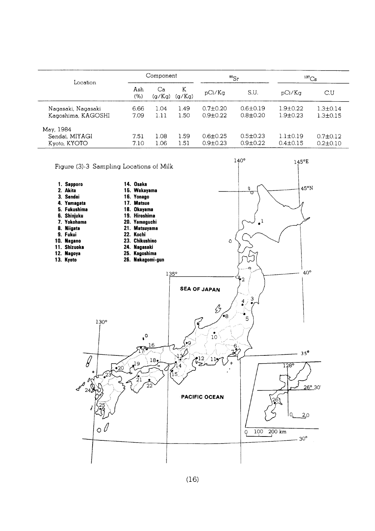| Location           |            | Component    |             |                | $^{90}$ Sr     | $^{137}Cs$     |                |
|--------------------|------------|--------------|-------------|----------------|----------------|----------------|----------------|
|                    | Ash<br>(%) | Ca<br>(q/Kq) | K<br>(q/Kq) | pCi/Kq         | S.U.           | pCi/Ka         | C.U            |
| Nagasaki, Nagasaki | 6.66       | 1.04         | 1.49        | $0.7 \pm 0.20$ | $0.6 \pm 0.19$ | $1.9 + 0.22$   | $1.3 + 0.14$   |
| Kagoshima, KAGOSHI | 7.09       | 1.11         | 1.50        | $0.9 + 0.22$   | $0.8 \pm 0.20$ | $1.9 + 0.23$   | $1.3 \pm 0.15$ |
| May, 1984          |            |              |             |                |                |                |                |
| Sendai, MIYAGI     | 7.51       | 1.08         | 1.59        | $0.6 \pm 0.25$ | $0.5 \pm 0.23$ | $1.1 \pm 0.19$ | $0.7 \pm 0.12$ |
| Kyoto, KYOTO       | 7.10       | 1.06         | 1.51        | $0.9 + 0.23$   | $0.9 \pm 0.22$ | $0.4 \pm 0.15$ | $0.2 \pm 0.10$ |

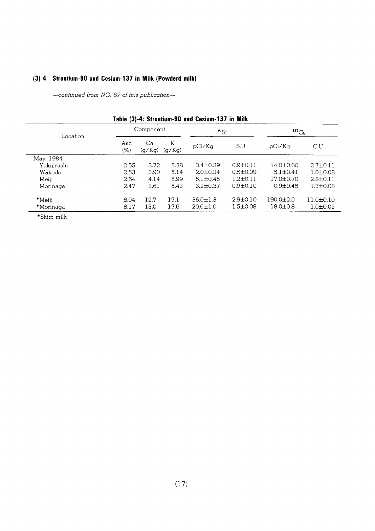## (3)-4 Strontium-90 and Cesium-137 in Milk (Powderd milk)

-continued from NO. 67 of this publication-

| Location    |             | Component    |             | $^{90}Sr$      |                | ${}^{137}Cs$   |                 |
|-------------|-------------|--------------|-------------|----------------|----------------|----------------|-----------------|
|             | Ash<br>(% ) | Ca<br>(g/Kg) | K<br>(q/Kq) | pCi/Kq         | S.U.           | pCi/Ka         | C.U             |
| May, 1984   |             |              |             |                |                |                |                 |
| Yukijirushi | 2.55        | 3.72         | 5.28        | $3.4 \pm 0.39$ | $0.9 \pm 0.11$ | 14.0±0.60      | $2.7 \pm 0.11$  |
| Wakodo      | 2.53        | 3.90         | 5.14        | $2.0 \pm 0.34$ | $0.5 \pm 0.09$ | $5.1 \pm 0.41$ | $1.0 + 0.08$    |
| Meiji       | 2.64        | 4.14         | 5.99        | $5.1 \pm 0.45$ | $1.2 \pm 0.11$ | 17.0±0.70      | $2.8 \pm 0.11$  |
| Morinaga    | 2.47        | 3.61         | 5.43        | $3.2 \pm 0.37$ | $0.9 + 0.10$   | $0.9 + 0.45$   | $1.3 \pm 0.08$  |
| $*$ Meiji   | 8.04        | 12.7         | 17.1        | $36.0 \pm 1.3$ | $2.9 \pm 0.10$ | 190.0±2.0      | $11.0 \pm 0.10$ |
| *Morinaga   | 8.17        | 13.0         | 17.6        | $20.0 \pm 1.0$ | $1.5 \pm 0.08$ | $18.0 \pm 0.8$ | $1.0 \pm 0.05$  |

#### Table (3)-4: Strontium-90 and Cesium-137 in Milk

 $\boldsymbol{*}$ Skim milk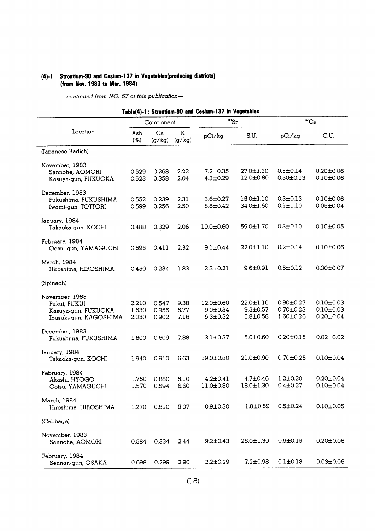## (4)-1 Strontium-90 and Cesium-137 in Vegetables(producing districts) (from Nov. 1983 to Mar. 1984)

|                                                                                 |                         | Component               |                      | $^{90}Sr$                                         |                                                     | $137 \text{Cs}$                                       |                                                       |
|---------------------------------------------------------------------------------|-------------------------|-------------------------|----------------------|---------------------------------------------------|-----------------------------------------------------|-------------------------------------------------------|-------------------------------------------------------|
| Location                                                                        | Ash<br>(% )             | Ca<br>(g/kg)            | K<br>(g/kg)          | pCi/kg                                            | S.U.                                                | pCi/kg                                                | C.U.                                                  |
| (Japanese Radish)                                                               |                         |                         |                      |                                                   |                                                     |                                                       |                                                       |
| November, 1983<br>Sannohe, AOMORI<br>Kasuya-gun, FUKUOKA                        | 0.529<br>0.523          | 0.268<br>0.358          | 2.22<br>2.04         | $7.2 \pm 0.35$<br>$4.3 \pm 0.29$                  | 27.0±1.30<br>$12.0 \pm 0.80$                        | $0.5 \pm 0.14$<br>$0.30 \pm 0.13$                     | $0.20 \pm 0.06$<br>$0.10 \pm 0.06$                    |
| December, 1983<br>Fukushima, FUKUSHIMA<br>Iwami-gun, TOTTORI                    | 0.552<br>0.599          | 0.239<br>0.256          | 2.31<br>2.50         | $3.6 \pm 0.27$<br>$8.8 \pm 0.42$                  | $15.0 \pm 1.10$<br>34.0±1.60                        | $0.3 \pm 0.13$<br>$0.1 \pm 0.10$                      | $0.10 \pm 0.06$<br>$0.05 \pm 0.04$                    |
| January, 1984<br>Takaoka-gun, KOCHI                                             | 0.488                   | 0.329                   | 2.06                 | 19.0±0.60                                         | $59.0 \pm 1.70$                                     | $0.3 \pm 0.10$                                        | $0.10 + 0.05$                                         |
| February, 1984<br>Ootsu-gun, YAMAGUCHI                                          | 0.595                   | 0.411                   | 2.32                 | $9.1 \pm 0.44$                                    | 22.0±1.10                                           | $0.2 \pm 0.14$                                        | $0.10 + 0.06$                                         |
| March, 1984<br>Hiroshima, HIROSHIMA                                             | 0.450                   | 0.234                   | 1.83                 | $2.3 \pm 0.21$                                    | 9.6±0.91                                            | $0.5 \pm 0.12$                                        | $0.30 \pm 0.07$                                       |
| (Spinach)                                                                       |                         |                         |                      |                                                   |                                                     |                                                       |                                                       |
| November, 1983<br>Fukui, FUKUI<br>Kasuya-gun, FUKUOKA<br>Ibusuki-gun, KAGOSHIMA | 2.210<br>1.630<br>2.030 | 0.547<br>0.956<br>0.902 | 9.38<br>6.77<br>7.16 | $12.0 \pm 0.60$<br>$9.0 + 0.54$<br>$5.3 \pm 0.52$ | $22.0 \pm 1.10$<br>$9.5 \pm 0.57$<br>$5.8 \pm 0.58$ | $0.90 \pm 0.27$<br>$0.70 \pm 0.23$<br>$1.60 \pm 0.26$ | $0.10 \pm 0.03$<br>$0.10 \pm 0.03$<br>$0.20 \pm 0.04$ |
| December, 1983<br>Fukushima, FUKUSHIMA                                          | 1.800                   | 0.609                   | 7.88                 | $3.1 \pm 0.37$                                    | $5.0 \pm 0.60$                                      | $0.20 \pm 0.15$                                       | $0.02 \pm 0.02$                                       |
| January, 1984<br>Takaoka-gun, KOCHI                                             | 1.940                   | 0.910                   | 6.63                 | 19.0±0.80                                         | $21.0 \pm 0.90$                                     | $0.70 + 0.25$                                         | $0.10 \pm 0.04$                                       |
| February, 1984<br>Akashi, HYOGO<br>Ootsu, YAMAGUCHI                             | 1.750<br>1.570          | 0.880<br>0.594          | 5.10<br>6.60         | $4.2 \pm 0.41$<br>11.0±0.80                       | $4.7 \pm 0.46$<br>$18.0 \pm 1.30$                   | $1.2 \pm 0.20$<br>$0.4 \pm 0.27$                      | $0.20 \pm 0.04$<br>$0.10 \pm 0.04$                    |
| March, 1984<br>Hiroshima, HIROSHIMA                                             | 1.270                   | 0.510                   | 5.07                 | $0.9 \pm 0.30$                                    | $1.8 \pm 0.59$                                      | $0.5 \pm 0.24$                                        | $0.10 \pm 0.05$                                       |
| (Cabbage)                                                                       |                         |                         |                      |                                                   |                                                     |                                                       |                                                       |
| November, 1983<br>Sannohe, AOMORI                                               | 0.584                   | 0.334                   | 2.44                 | $9.2 \pm 0.43$                                    | 28.0±1.30                                           | $0.5 \pm 0.15$                                        | $0.20 \pm 0.06$                                       |
| February, 1984<br>Sennan-gun, OSAKA                                             | 0.698                   | 0.299                   | 2.90                 | $2.2 \pm 0.29$                                    | $7.2 \pm 0.98$                                      | $0.1 \pm 0.18$                                        | $0.03 \pm 0.06$                                       |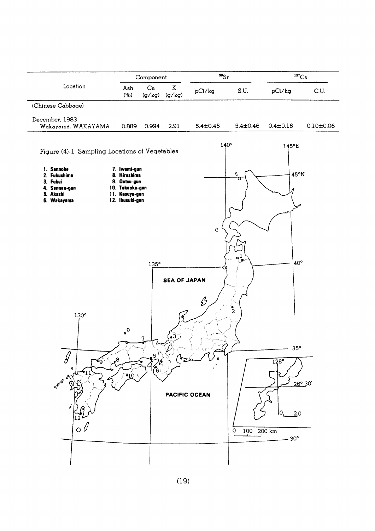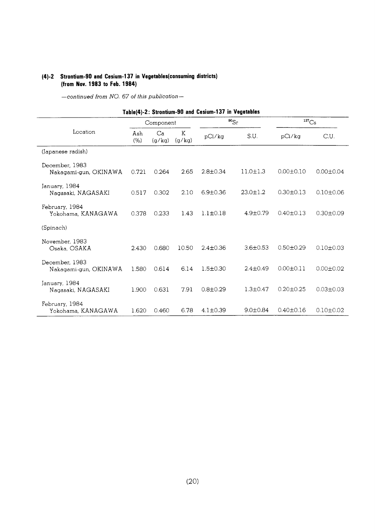#### (4)-2 Strontium-90 and Cesium-137 in Vegetables(consuming districts) (from Nov. 1983 to Feb. 1984)

| Table(4)-2: Strontium-90 and Cesium-137 in Vegetables |             |              |             |                |                |                     |                 |
|-------------------------------------------------------|-------------|--------------|-------------|----------------|----------------|---------------------|-----------------|
|                                                       | Component   |              |             |                | $^{90}Sr$      | $\mathrm{^{137}Cs}$ |                 |
| Location                                              | Ash<br>(% ) | Ca<br>(g/kg) | K<br>(g/kg) | pCi/kg         | S.U.           | pCi/kg              | C.U.            |
| (Japanese radish)                                     |             |              |             |                |                |                     |                 |
| December, 1983<br>Nakagami-gun, OKINAWA               | 0.721       | 0.264        | 2.65        | $2.8 \pm 0.34$ | $11.0 \pm 1.3$ | $0.00 \pm 0.10$     | $0.00 \pm 0.04$ |
| January, 1984<br>Nagasaki, NAGASAKI                   | 0.517       | 0.302        | 2.10        | $6.9 \pm 0.36$ | $23.0 \pm 1.2$ | $0.30 \pm 0.13$     | $0.10 + 0.06$   |
| February, 1984<br>Yokohama, KANAGAWA                  | 0.378       | 0.233        | 1.43        | $1.1 \pm 0.18$ | $4.9 \pm 0.79$ | $0.40 \pm 0.13$     | $0.30 + 0.09$   |
| (Spinach)                                             |             |              |             |                |                |                     |                 |
| November, 1983<br>Osaka, OSAKA                        | 2.430       | 0.680        | 10.50       | $2.4 + 0.36$   | $3.6 \pm 0.53$ | $0.50 \pm 0.29$     | $0.10 + 0.03$   |
| December, 1983<br>Nakagami-gun, OKINAWA               | 1.580       | 0.614        | 6.14        | $1.5 + 0.30$   | $2.4 \pm 0.49$ | $0.00 \pm 0.11$     | $0.00 + 0.02$   |
| January, 1984<br>Nagasaki, NAGASAKI                   | 1.900       | 0.631        | 7.91        | $0.8 + 0.29$   | $1.3 \pm 0.47$ | $0.20 \pm 0.25$     | $0.03 + 0.03$   |
| February, 1984<br>Yokohama, KANAGAWA                  | 1.620       | 0.460        | 6.78        | $4.1 \pm 0.39$ | $9.0 \pm 0.84$ | $0.40 \pm 0.16$     | $0.10 + 0.02$   |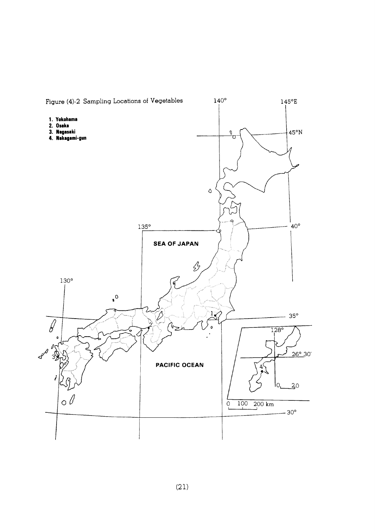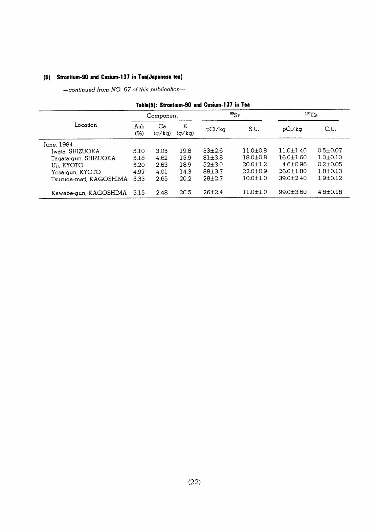## (5) Strontium-90 and Cesium-137 in Tea(Japanese tea)

-continued from NO. 67 of this publication-

|                         | Component  |              |             | $^{90}$ Sr  |                | $137$ Cs        |                |
|-------------------------|------------|--------------|-------------|-------------|----------------|-----------------|----------------|
| Location                | Ash<br>(%) | Ca<br>(g/kg) | K<br>(g/kg) | pCi/kg      | S.U.           | pCi/ka          | C.U.           |
| June, 1984              |            |              |             |             |                |                 |                |
| Iwata, SHIZUOKA         | 5.10       | 3.05         | 19.8        | $33\pm2.6$  | $11.0 \pm 0.8$ | $11.0 \pm 1.40$ | $0.5 \pm 0.07$ |
| Tagata-gun, SHIZUOKA    | 5.18       | 4.62         | 15.9        | $81 + 3.8$  | $18.0 \pm 0.8$ | $16.0 \pm 1.60$ | $1.0 + 0.10$   |
| Uji, KYOTO              | 5.20       | 2.63         | 18.9        | $52\pm3.0$  | $20.0 \pm 1.2$ | $4.6 \pm 0.96$  | $0.2 \pm 0.05$ |
| Yosa-gun, KYOTO         | 4.97       | 4.01         | 14.3        | $88 + 3.7$  | $22.0 \pm 0.9$ | $26.0 \pm 1.80$ | $1.8 \pm 0.13$ |
| Tsuruda-mati, KAGOSHIMA | 5.33       | 2.65         | 20.2        | $28\pm 2.7$ | $10.0 \pm 1.0$ | $39.0 \pm 2.40$ | $1.9 \pm 0.12$ |
| Kawabe-gun, KAGOSHIMA   | 5.15       | 2.48         | 20.5        | 26±2.4      | $11.0 \pm 1.0$ | $99.0 \pm 3.60$ | $4.8 \pm 0.18$ |

#### Tahle(5): Strontium-90 and Cesium-137 in Tea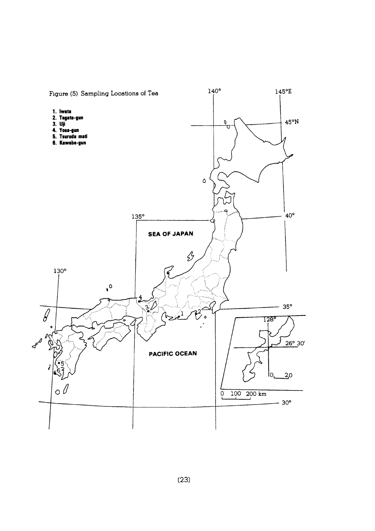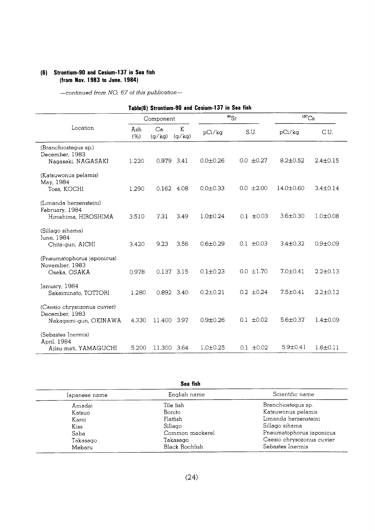#### (6) Strontium-90 and Cesium-137 in Sea fish (from Nov. 1983 to June. 1984)

|                                                                        |            |              |                   | Table(6) Strontium-90 and Cesium-137 in Sea fish |                |                     |                |
|------------------------------------------------------------------------|------------|--------------|-------------------|--------------------------------------------------|----------------|---------------------|----------------|
|                                                                        |            | Component    |                   |                                                  | $^{90}Sr$      | $^{137}\mathrm{Cs}$ |                |
| Location                                                               | Ash<br>(%) | Ca<br>(g/kg) | $\rm K$<br>(g/kg) | pCi/kg                                           | S.U.           | pCi/kg              | C.U.           |
| (Branchiostegus sp.)<br>December, 1983<br>Nagasaki, NAGASAKI           | 1.220      | 0.979 3.41   |                   | $0.0 + 0.26$                                     | $0.0 \pm 0.27$ | $8.2 \pm 0.52$      | $2.4 \pm 0.15$ |
| (Katsuwonus pelamis)<br>May, 1984<br>Tosa, KOCHI                       | 1.290      |              | 0.162 4.08        | $0.0 \pm 0.33$                                   | $0.0 \pm 2.00$ | 14.0±0.60           | $3.4 \pm 0.14$ |
| (Limanda herzensteini)<br>February, 1984<br>Hiroshima, HIROSHIMA       | 3.510      | 7.31         | 3.49              | $1.0 \pm 0.24$                                   | $0.1 \pm 0.03$ | $3.6 \pm 0.30$      | $1.0 \pm 0.08$ |
| (Sillago sihama)<br>June, 1984<br>Chita-gun, AICHI                     | 3.420      | 9.23         | 3.56              | $0.6 \pm 0.29$                                   | $0.1 + 0.03$   | $3.4 \pm 0.32$      | $0.9 + 0.09$   |
| (Pneumatophorus japonicus)<br>November, 1983<br>Osaka, OSAKA           | 0.978      | 0.137 3.15   |                   | $0.1 \pm 0.23$                                   | $0.0 \pm 1.70$ | $7.0 \pm 0.41$      | $2.2 \pm 0.13$ |
| January, 1984<br>Sakaiminato, TOTTORI                                  | 1.280      |              | 0.892 3.40        | $0.2 \pm 0.21$                                   | $0.2 \pm 0.24$ | $7.5 \pm 0.41$      | $2.2 \pm 0.12$ |
| (Caesio chrysozonus cuvier)<br>December, 1983<br>Nakagami-gun, OKINAWA | 4.330      | 11.400       | 3.97              | $0.9 + 0.26$                                     | $0.1 \pm 0.02$ | $5.6 \pm 0.37$      | $1.4 \pm 0.09$ |
| (Sebastes Inermis)<br>April, 1984<br>Ajisu-mati, YAMAGUCHI             | 5.200      | 11.300 3.64  |                   | $1.0 + 0.25$                                     | $0.1 \pm 0.02$ | $5.9 + 0.41$        | $1.6 \pm 0.11$ |

|               | Sea fish        |                           |  |  |  |  |  |
|---------------|-----------------|---------------------------|--|--|--|--|--|
| Japanese name | English name    | Scientific name           |  |  |  |  |  |
| Amadai        | Tile fish       | Branchiostegus sp.        |  |  |  |  |  |
| Katsuo        | Bonito          | Katsuwonus pelamis        |  |  |  |  |  |
| Karei         | Flatfish        | Limanda herzensteini      |  |  |  |  |  |
| Kiss          | Sillago         | Sillago sihama            |  |  |  |  |  |
| Saba          | Common mackerel | Pneumatophorus japonicus  |  |  |  |  |  |
| Takasago      | Takasago        | Caesio chrysozonus cuvier |  |  |  |  |  |
| Mebaru        | Black Rochfish  | Sebastes Inermis          |  |  |  |  |  |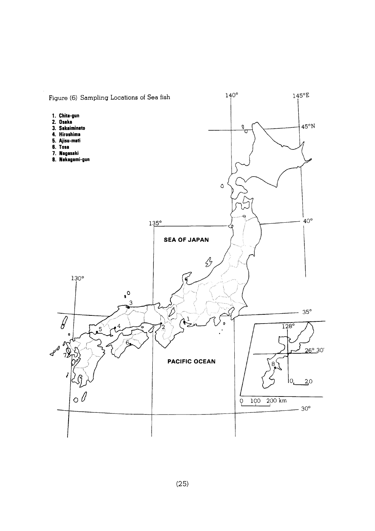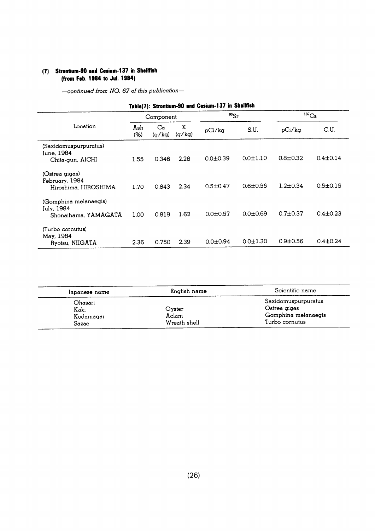#### (7) Strontium-90 and Cesium-137 in Shellfish (from Feb. 1984 to Jul. 1984)

| Table(7): Strontium-90 and Cesium-137 in Shellfish          |             |              |             |                |                   |                |                |
|-------------------------------------------------------------|-------------|--------------|-------------|----------------|-------------------|----------------|----------------|
|                                                             | Component   |              | $^{90}Sr$   |                | 137 <sub>Cs</sub> |                |                |
| Location                                                    | Ash<br>(% ) | Ca<br>(q/kq) | K<br>(g/kg) | pCi/kg         | S.U.              | pCi/kg         | C.U.           |
| (Saxidomuspurpuratus)<br>June, 1984<br>Chita-gun, AICHI     | 1.55        | 0.346        | 2.28        | $0.0 + 0.39$   | $0.0 \pm 1.10$    | $0.8 \pm 0.32$ | $0.4 \pm 0.14$ |
| (Ostrea gigas)<br>February, 1984<br>Hiroshima, HIROSHIMA    | 1.70        | 0.843        | 2.34        | $0.5 \pm 0.47$ | $0.6 + 0.55$      | $1.2 \pm 0.34$ | $0.5 \pm 0.15$ |
| (Gomphina melanaegis)<br>July, 1984<br>Shonaihama, YAMAGATA | 1.00        | 0.819        | 1.62        | $0.0 + 0.57$   | $0.0 + 0.69$      | $0.7 + 0.37$   | $0.4 \pm 0.23$ |
| (Turbo cornutus)<br>May, 1984<br>Ryotsu, NIIGATA            | 2.36        | 0.750        | 2.39        | $0.0 \pm 0.94$ | $0.0 \pm 1.30$    | $0.9 \pm 0.56$ | $0.4 \pm 0.24$ |

| Japanese name | English name | Scientific name     |  |
|---------------|--------------|---------------------|--|
| Ohasari       |              | Saxidomuspurpuratus |  |
| Kaki          | Ovster       | Ostrea gigas        |  |
| Kodamagai     | Aclam        | Gomphina melanaegis |  |
| Sazae         | Wreath shell | Turbo cornutus      |  |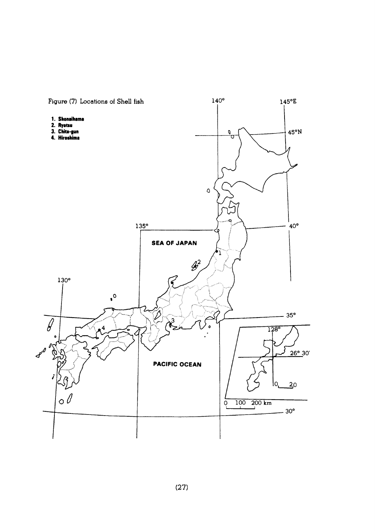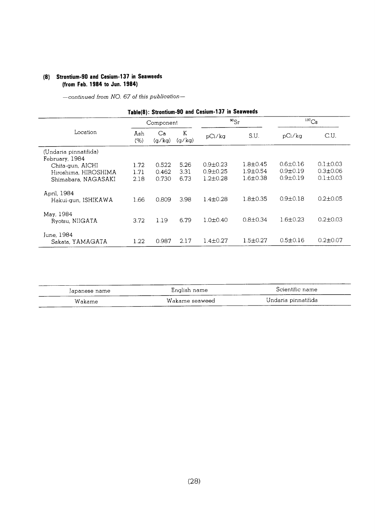#### (8) Strontium-90 and Cesium-137 in Seaweeds (from Feb. 1984 to Jun. 1984)

-continued from NO. 67 of this publication-

## Table(8): Strontium-90 and Cesium-137 in Seaweeds

|                                         | Component   |              | $^{90}Sr$   |                | $^{137}Cs$     |                |                |
|-----------------------------------------|-------------|--------------|-------------|----------------|----------------|----------------|----------------|
| Location                                | Ash<br>(% ) | Ca<br>(g/kg) | K<br>(g/kg) | pCi/kg         | S.U.           | pCi/ka         | C.U.           |
| (Undaria pinnatifida)<br>February, 1984 |             |              |             |                |                |                |                |
| Chita-gun, AICHI                        | 1.72        | 0.522        | 5.26        | $0.9 \pm 0.23$ | $1.8 \pm 0.45$ | $0.6 \pm 0.16$ | $0.1 \pm 0.03$ |
| Hiroshima, HIROSHIMA                    | 1.71        | 0.462        | 3.31        | $0.9 \pm 0.25$ | $1.9 \pm 0.54$ | $0.9 \pm 0.19$ | $0.3 \pm 0.06$ |
| Shimabara, NAGASAKI                     | 2.18        | 0.730        | 6.73        | $1.2 \pm 0.28$ | $1.6 \pm 0.38$ | $0.9 \pm 0.19$ | $0.1 \pm 0.03$ |
| April, 1984<br>Hakui-gun, ISHIKAWA      | 1.66        | 0.809        | 3.98        | $1.4 \pm 0.28$ | $1.8 + 0.35$   | $0.9 + 0.18$   | $0.2 \pm 0.05$ |
| May, 1984<br>Ryotsu, NIIGATA            | 3.72        | 1.19         | 6.79        | $1.0 \pm 0.40$ | $0.8 \pm 0.34$ | $1.6 \pm 0.23$ | $0.2 \pm 0.03$ |
| June, 1984<br>Sakata, YAMAGATA          | 1.22        | 0.987        | 2.17        | $1.4 \pm 0.27$ | $1.5 \pm 0.27$ | $0.5 \pm 0.16$ | $0.2 \pm 0.07$ |

| Japanese name | English name   | Scientific name     |
|---------------|----------------|---------------------|
| Wakame        | Wakame seaweed | Undaria pinnatifida |